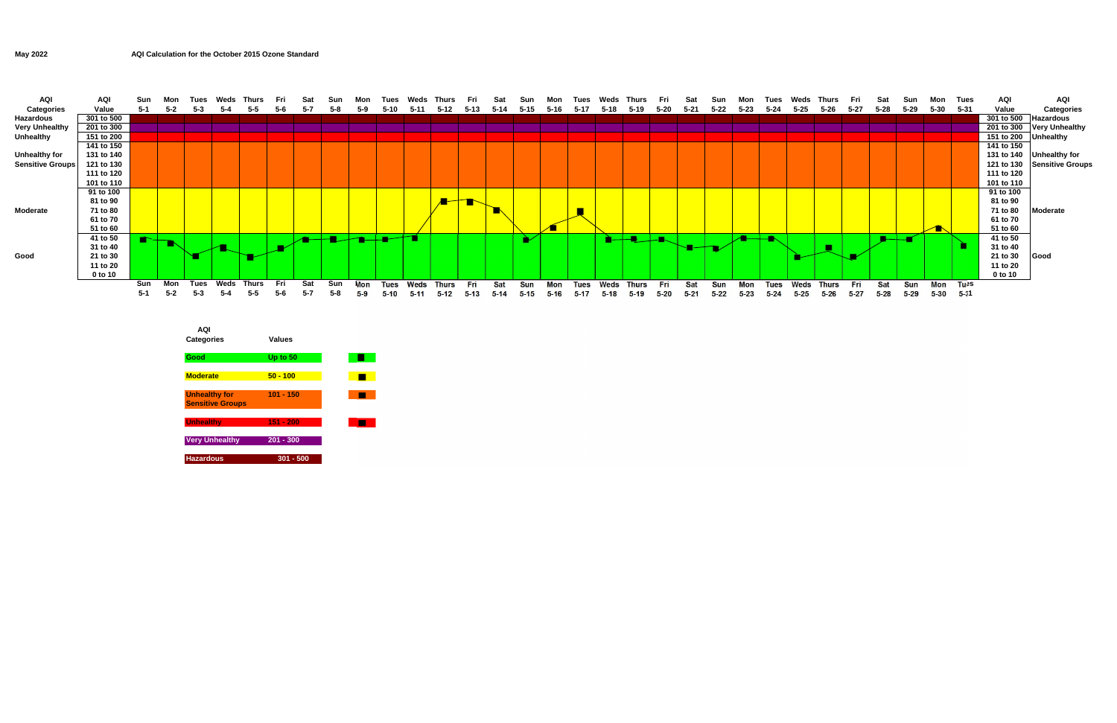